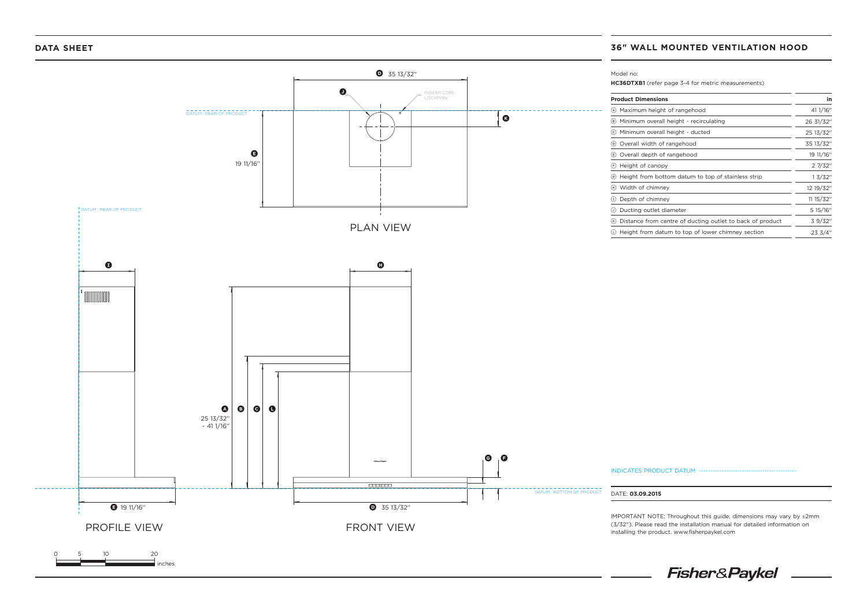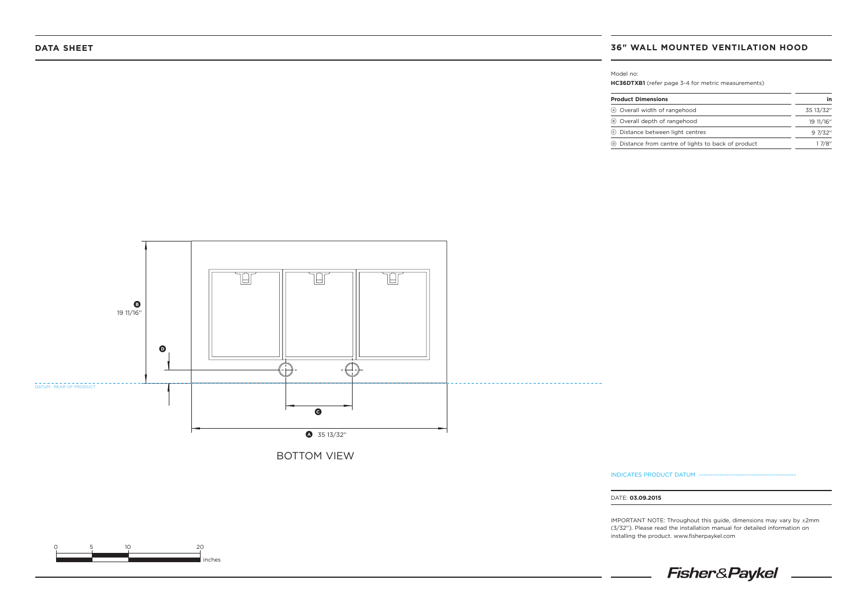Model no:

**HC36DTXB1** (refer page 3-4 for metric measurements)

| <b>Product Dimensions</b>                             | in        |
|-------------------------------------------------------|-----------|
| (A) Overall width of rangehood                        | 35 13/32" |
| (B) Overall depth of rangehood                        | 19 11/16" |
| © Distance between light centres                      | 97/32"    |
| (b) Distance from centre of lights to back of product | 17/8"     |



0 5 10 20 inches INDICATES PRODUCT DATUM ------

DATE: **03.09.2015**

IMPORTANT NOTE: Throughout this guide, dimensions may vary by ±2mm (3/32''). Please read the installation manual for detailed information on installing the product. www.fisherpaykel.com

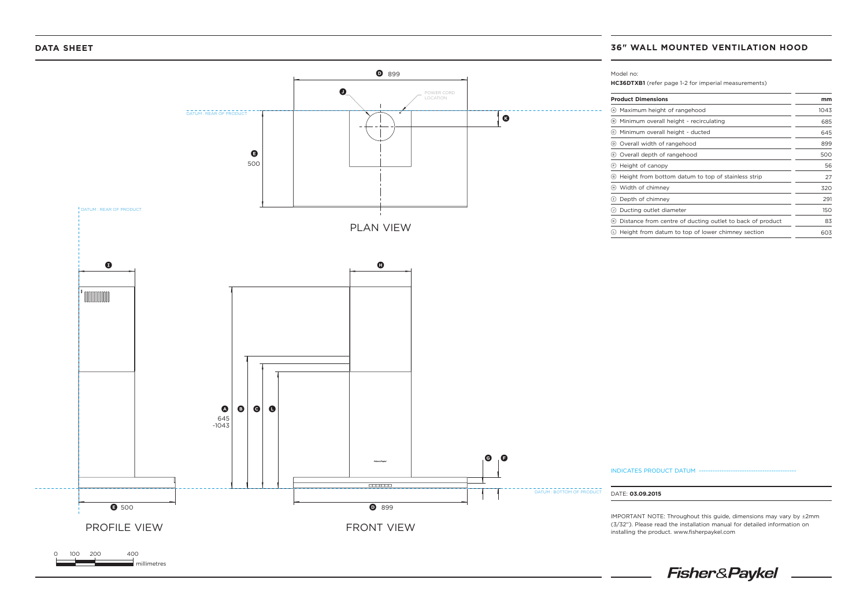